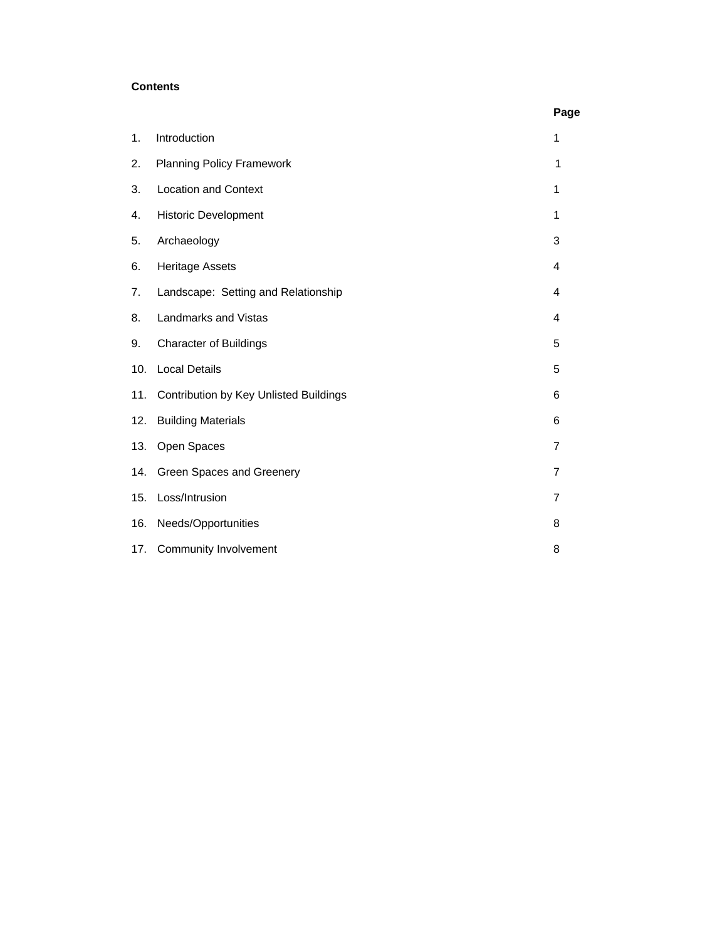# **Contents**

|     |                                        | Page |
|-----|----------------------------------------|------|
| 1.  | Introduction                           | 1    |
| 2.  | <b>Planning Policy Framework</b>       | 1    |
| 3.  | <b>Location and Context</b>            | 1    |
| 4.  | <b>Historic Development</b>            | 1    |
| 5.  | Archaeology                            | 3    |
| 6.  | <b>Heritage Assets</b>                 | 4    |
| 7.  | Landscape: Setting and Relationship    | 4    |
| 8.  | Landmarks and Vistas                   | 4    |
| 9.  | <b>Character of Buildings</b>          | 5    |
| 10. | <b>Local Details</b>                   | 5    |
| 11. | Contribution by Key Unlisted Buildings | 6    |
| 12. | <b>Building Materials</b>              | 6    |
| 13. | Open Spaces                            | 7    |
| 14. | Green Spaces and Greenery              | 7    |
| 15. | Loss/Intrusion                         | 7    |
| 16. | Needs/Opportunities                    | 8    |
| 17. | <b>Community Involvement</b>           | 8    |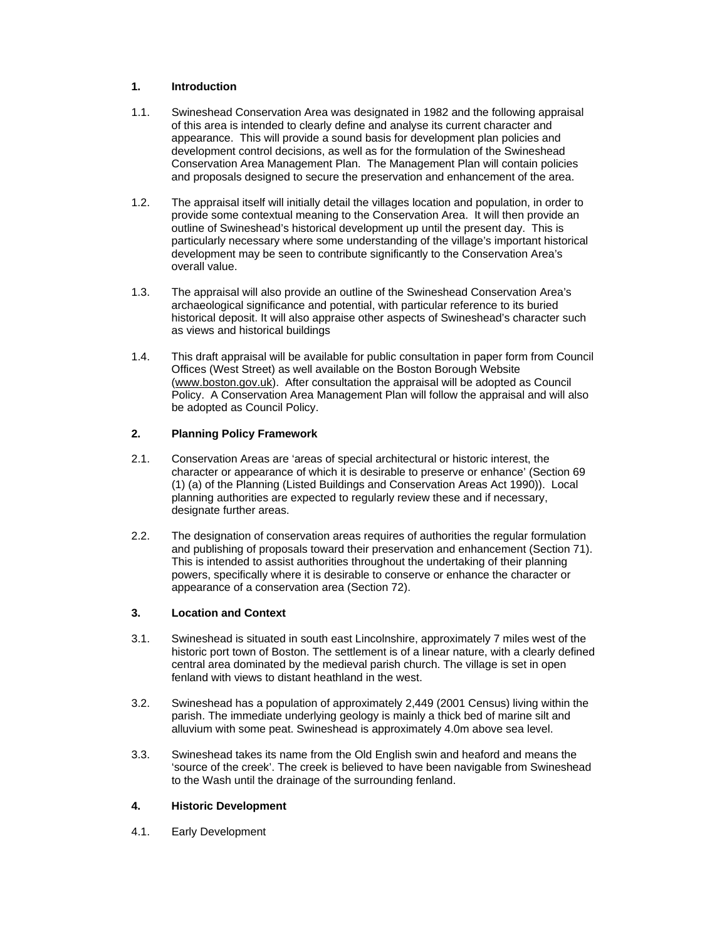## **1. Introduction**

- 1.1. Swineshead Conservation Area was designated in 1982 and the following appraisal of this area is intended to clearly define and analyse its current character and appearance. This will provide a sound basis for development plan policies and development control decisions, as well as for the formulation of the Swineshead Conservation Area Management Plan. The Management Plan will contain policies and proposals designed to secure the preservation and enhancement of the area.
- 1.2. The appraisal itself will initially detail the villages location and population, in order to provide some contextual meaning to the Conservation Area. It will then provide an outline of Swineshead's historical development up until the present day. This is particularly necessary where some understanding of the village's important historical development may be seen to contribute significantly to the Conservation Area's overall value.
- 1.3. The appraisal will also provide an outline of the Swineshead Conservation Area's archaeological significance and potential, with particular reference to its buried historical deposit. It will also appraise other aspects of Swineshead's character such as views and historical buildings
- 1.4. This draft appraisal will be available for public consultation in paper form from Council Offices (West Street) as well available on the Boston Borough Website (www.boston.gov.uk). After consultation the appraisal will be adopted as Council Policy. A Conservation Area Management Plan will follow the appraisal and will also be adopted as Council Policy.

## **2. Planning Policy Framework**

- 2.1. Conservation Areas are 'areas of special architectural or historic interest, the character or appearance of which it is desirable to preserve or enhance' (Section 69 (1) (a) of the Planning (Listed Buildings and Conservation Areas Act 1990)). Local planning authorities are expected to regularly review these and if necessary, designate further areas.
- 2.2. The designation of conservation areas requires of authorities the regular formulation and publishing of proposals toward their preservation and enhancement (Section 71). This is intended to assist authorities throughout the undertaking of their planning powers, specifically where it is desirable to conserve or enhance the character or appearance of a conservation area (Section 72).

### **3. Location and Context**

- 3.1. Swineshead is situated in south east Lincolnshire, approximately 7 miles west of the historic port town of Boston. The settlement is of a linear nature, with a clearly defined central area dominated by the medieval parish church. The village is set in open fenland with views to distant heathland in the west.
- 3.2. Swineshead has a population of approximately 2,449 (2001 Census) living within the parish. The immediate underlying geology is mainly a thick bed of marine silt and alluvium with some peat. Swineshead is approximately 4.0m above sea level.
- 3.3. Swineshead takes its name from the Old English swin and heaford and means the 'source of the creek'. The creek is believed to have been navigable from Swineshead to the Wash until the drainage of the surrounding fenland.

#### **4. Historic Development**

4.1. Early Development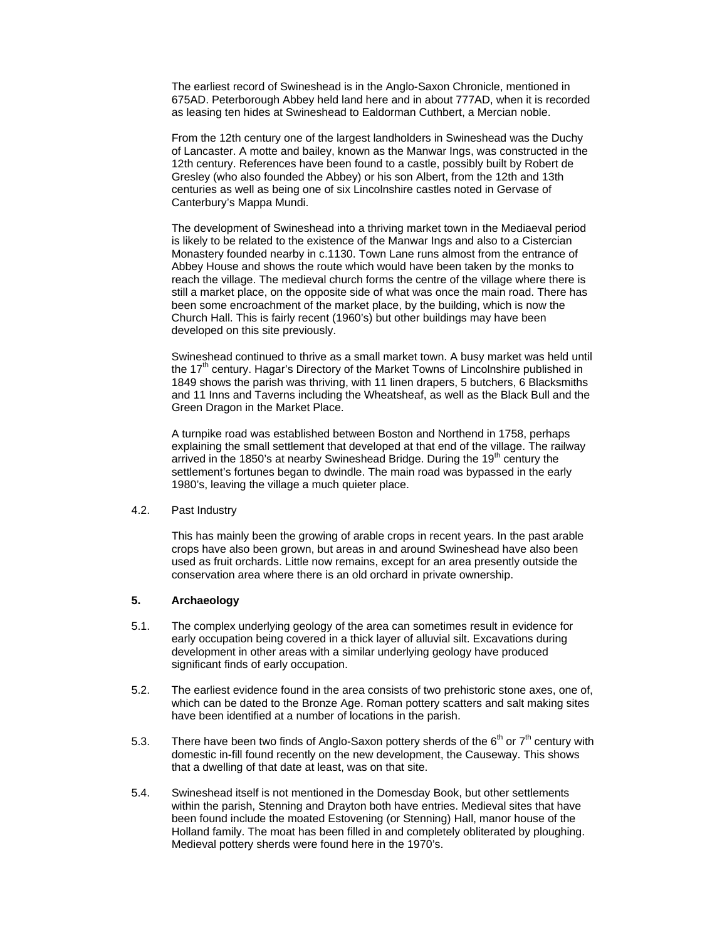The earliest record of Swineshead is in the Anglo-Saxon Chronicle, mentioned in 675AD. Peterborough Abbey held land here and in about 777AD, when it is recorded as leasing ten hides at Swineshead to Ealdorman Cuthbert, a Mercian noble.

From the 12th century one of the largest landholders in Swineshead was the Duchy of Lancaster. A motte and bailey, known as the Manwar Ings, was constructed in the 12th century. References have been found to a castle, possibly built by Robert de Gresley (who also founded the Abbey) or his son Albert, from the 12th and 13th centuries as well as being one of six Lincolnshire castles noted in Gervase of Canterbury's Mappa Mundi.

The development of Swineshead into a thriving market town in the Mediaeval period is likely to be related to the existence of the Manwar Ings and also to a Cistercian Monastery founded nearby in c.1130. Town Lane runs almost from the entrance of Abbey House and shows the route which would have been taken by the monks to reach the village. The medieval church forms the centre of the village where there is still a market place, on the opposite side of what was once the main road. There has been some encroachment of the market place, by the building, which is now the Church Hall. This is fairly recent (1960's) but other buildings may have been developed on this site previously.

Swineshead continued to thrive as a small market town. A busy market was held until the 17<sup>th</sup> century. Hagar's Directory of the Market Towns of Lincolnshire published in 1849 shows the parish was thriving, with 11 linen drapers, 5 butchers, 6 Blacksmiths and 11 Inns and Taverns including the Wheatsheaf, as well as the Black Bull and the Green Dragon in the Market Place.

A turnpike road was established between Boston and Northend in 1758, perhaps explaining the small settlement that developed at that end of the village. The railway arrived in the 1850's at nearby Swineshead Bridge. During the 19<sup>th</sup> century the settlement's fortunes began to dwindle. The main road was bypassed in the early 1980's, leaving the village a much quieter place.

#### 4.2. Past Industry

This has mainly been the growing of arable crops in recent years. In the past arable crops have also been grown, but areas in and around Swineshead have also been used as fruit orchards. Little now remains, except for an area presently outside the conservation area where there is an old orchard in private ownership.

## **5. Archaeology**

- 5.1. The complex underlying geology of the area can sometimes result in evidence for early occupation being covered in a thick layer of alluvial silt. Excavations during development in other areas with a similar underlying geology have produced significant finds of early occupation.
- 5.2. The earliest evidence found in the area consists of two prehistoric stone axes, one of, which can be dated to the Bronze Age. Roman pottery scatters and salt making sites have been identified at a number of locations in the parish.
- 5.3. There have been two finds of Anglo-Saxon pottery sherds of the  $6<sup>th</sup>$  or  $7<sup>th</sup>$  century with domestic in-fill found recently on the new development, the Causeway. This shows that a dwelling of that date at least, was on that site.
- 5.4. Swineshead itself is not mentioned in the Domesday Book, but other settlements within the parish, Stenning and Drayton both have entries. Medieval sites that have been found include the moated Estovening (or Stenning) Hall, manor house of the Holland family. The moat has been filled in and completely obliterated by ploughing. Medieval pottery sherds were found here in the 1970's.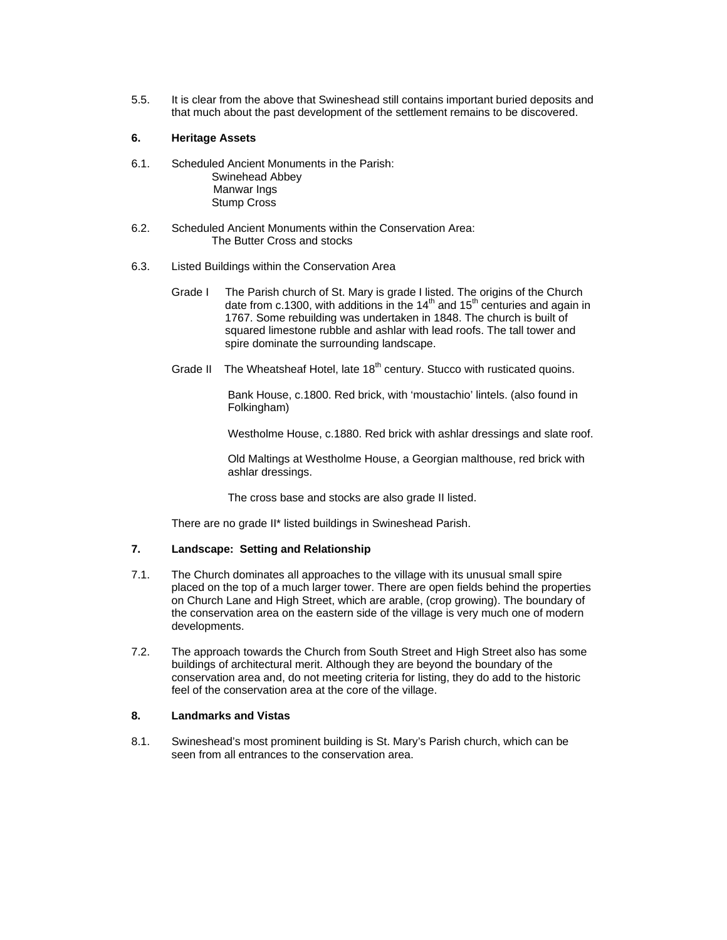5.5. It is clear from the above that Swineshead still contains important buried deposits and that much about the past development of the settlement remains to be discovered.

## **6. Heritage Assets**

- 6.1. Scheduled Ancient Monuments in the Parish: Swinehead Abbey Manwar Ings Stump Cross
- 6.2. Scheduled Ancient Monuments within the Conservation Area: The Butter Cross and stocks
- 6.3. Listed Buildings within the Conservation Area
	- Grade I The Parish church of St. Mary is grade I listed. The origins of the Church date from c.1300, with additions in the  $14<sup>th</sup>$  and  $15<sup>th</sup>$  centuries and again in 1767. Some rebuilding was undertaken in 1848. The church is built of squared limestone rubble and ashlar with lead roofs. The tall tower and spire dominate the surrounding landscape.
	- Grade II The Wheatsheaf Hotel, late  $18<sup>th</sup>$  century. Stucco with rusticated quoins.

Bank House, c.1800. Red brick, with 'moustachio' lintels. (also found in Folkingham)

Westholme House, c.1880. Red brick with ashlar dressings and slate roof.

Old Maltings at Westholme House, a Georgian malthouse, red brick with ashlar dressings.

The cross base and stocks are also grade II listed.

There are no grade II\* listed buildings in Swineshead Parish.

## **7. Landscape: Setting and Relationship**

- 7.1. The Church dominates all approaches to the village with its unusual small spire placed on the top of a much larger tower. There are open fields behind the properties on Church Lane and High Street, which are arable, (crop growing). The boundary of the conservation area on the eastern side of the village is very much one of modern developments.
- 7.2. The approach towards the Church from South Street and High Street also has some buildings of architectural merit. Although they are beyond the boundary of the conservation area and, do not meeting criteria for listing, they do add to the historic feel of the conservation area at the core of the village.

#### **8. Landmarks and Vistas**

8.1. Swineshead's most prominent building is St. Mary's Parish church, which can be seen from all entrances to the conservation area.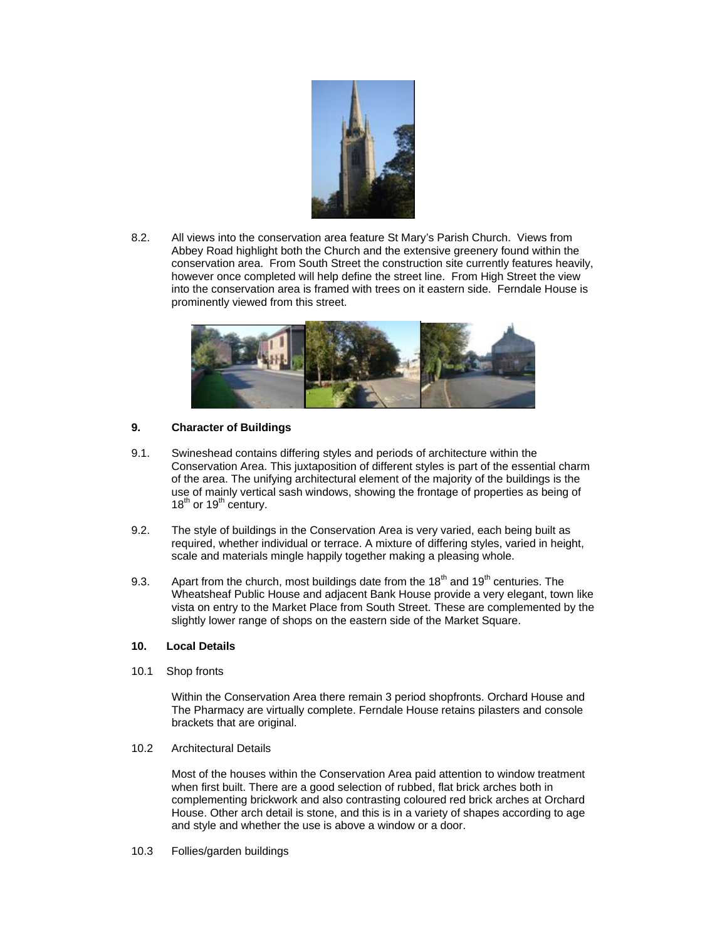

8.2. All views into the conservation area feature St Mary's Parish Church. Views from Abbey Road highlight both the Church and the extensive greenery found within the conservation area. From South Street the construction site currently features heavily, however once completed will help define the street line. From High Street the view into the conservation area is framed with trees on it eastern side. Ferndale House is prominently viewed from this street.



## **9. Character of Buildings**

- 9.1. Swineshead contains differing styles and periods of architecture within the Conservation Area. This juxtaposition of different styles is part of the essential charm of the area. The unifying architectural element of the majority of the buildings is the use of mainly vertical sash windows, showing the frontage of properties as being of  $18^{th}$  or  $19^{th}$  century.
- 9.2. The style of buildings in the Conservation Area is very varied, each being built as required, whether individual or terrace. A mixture of differing styles, varied in height, scale and materials mingle happily together making a pleasing whole.
- 9.3. Apart from the church, most buildings date from the  $18<sup>th</sup>$  and  $19<sup>th</sup>$  centuries. The Wheatsheaf Public House and adjacent Bank House provide a very elegant, town like vista on entry to the Market Place from South Street. These are complemented by the slightly lower range of shops on the eastern side of the Market Square.

### **10. Local Details**

10.1 Shop fronts

Within the Conservation Area there remain 3 period shopfronts. Orchard House and The Pharmacy are virtually complete. Ferndale House retains pilasters and console brackets that are original.

10.2 Architectural Details

Most of the houses within the Conservation Area paid attention to window treatment when first built. There are a good selection of rubbed, flat brick arches both in complementing brickwork and also contrasting coloured red brick arches at Orchard House. Other arch detail is stone, and this is in a variety of shapes according to age and style and whether the use is above a window or a door.

10.3 Follies/garden buildings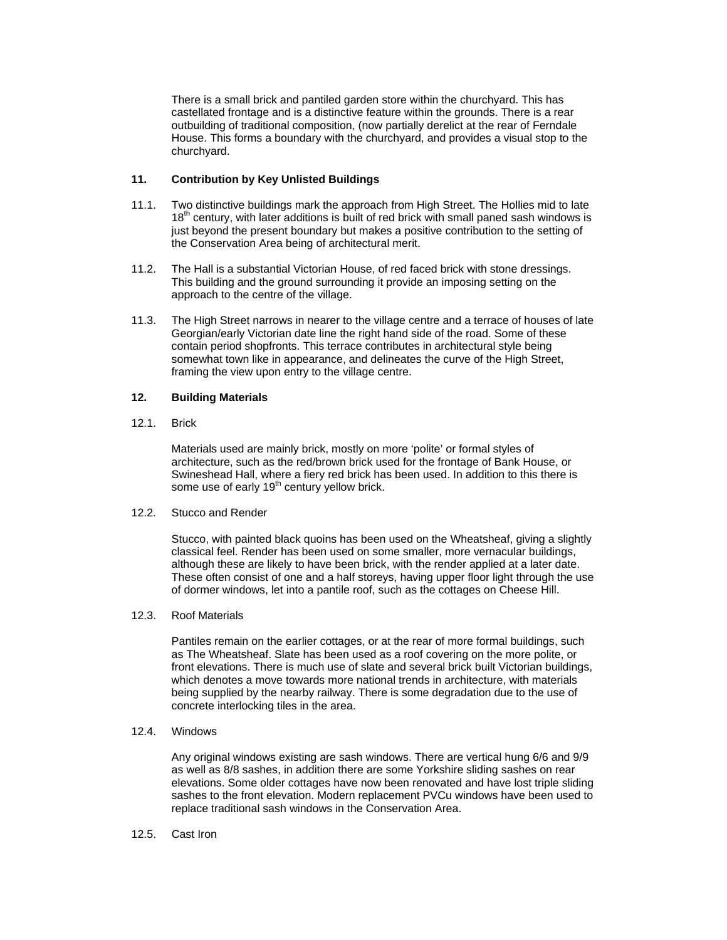There is a small brick and pantiled garden store within the churchyard. This has castellated frontage and is a distinctive feature within the grounds. There is a rear outbuilding of traditional composition, (now partially derelict at the rear of Ferndale House. This forms a boundary with the churchyard, and provides a visual stop to the churchyard.

## **11. Contribution by Key Unlisted Buildings**

- 11.1. Two distinctive buildings mark the approach from High Street. The Hollies mid to late  $18<sup>th</sup>$  century, with later additions is built of red brick with small paned sash windows is just beyond the present boundary but makes a positive contribution to the setting of the Conservation Area being of architectural merit.
- 11.2. The Hall is a substantial Victorian House, of red faced brick with stone dressings. This building and the ground surrounding it provide an imposing setting on the approach to the centre of the village.
- 11.3. The High Street narrows in nearer to the village centre and a terrace of houses of late Georgian/early Victorian date line the right hand side of the road. Some of these contain period shopfronts. This terrace contributes in architectural style being somewhat town like in appearance, and delineates the curve of the High Street, framing the view upon entry to the village centre.

## **12. Building Materials**

12.1. Brick

Materials used are mainly brick, mostly on more 'polite' or formal styles of architecture, such as the red/brown brick used for the frontage of Bank House, or Swineshead Hall, where a fiery red brick has been used. In addition to this there is some use of early  $19<sup>th</sup>$  century yellow brick.

12.2. Stucco and Render

Stucco, with painted black quoins has been used on the Wheatsheaf, giving a slightly classical feel. Render has been used on some smaller, more vernacular buildings, although these are likely to have been brick, with the render applied at a later date. These often consist of one and a half storeys, having upper floor light through the use of dormer windows, let into a pantile roof, such as the cottages on Cheese Hill.

### 12.3. Roof Materials

Pantiles remain on the earlier cottages, or at the rear of more formal buildings, such as The Wheatsheaf. Slate has been used as a roof covering on the more polite, or front elevations. There is much use of slate and several brick built Victorian buildings, which denotes a move towards more national trends in architecture, with materials being supplied by the nearby railway. There is some degradation due to the use of concrete interlocking tiles in the area.

12.4. Windows

Any original windows existing are sash windows. There are vertical hung 6/6 and 9/9 as well as 8/8 sashes, in addition there are some Yorkshire sliding sashes on rear elevations. Some older cottages have now been renovated and have lost triple sliding sashes to the front elevation. Modern replacement PVCu windows have been used to replace traditional sash windows in the Conservation Area.

12.5. Cast Iron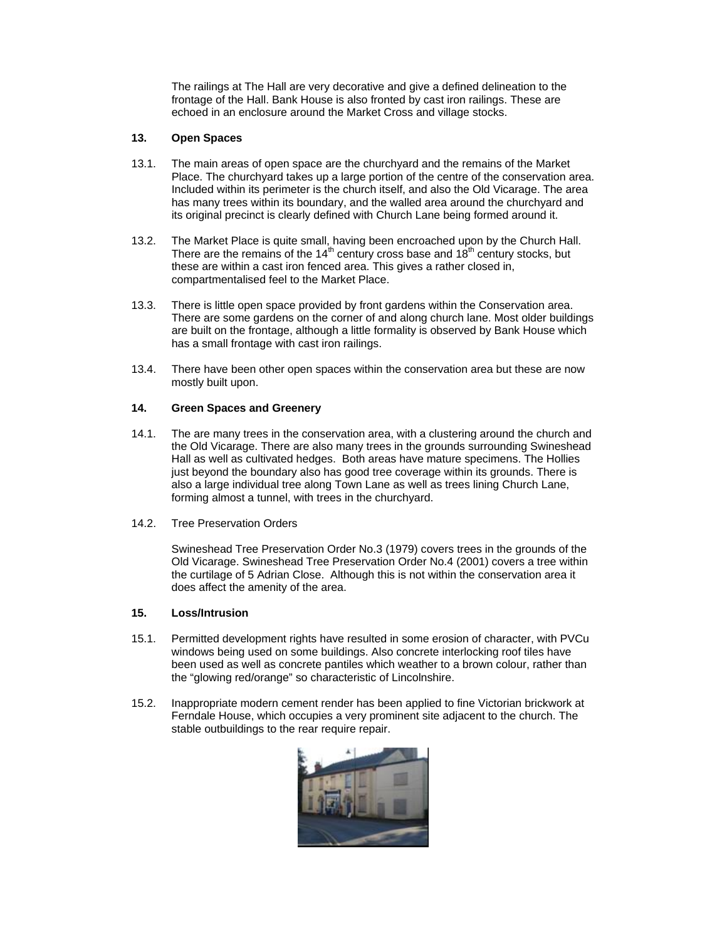The railings at The Hall are very decorative and give a defined delineation to the frontage of the Hall. Bank House is also fronted by cast iron railings. These are echoed in an enclosure around the Market Cross and village stocks.

## **13. Open Spaces**

- 13.1. The main areas of open space are the churchyard and the remains of the Market Place. The churchyard takes up a large portion of the centre of the conservation area. Included within its perimeter is the church itself, and also the Old Vicarage. The area has many trees within its boundary, and the walled area around the churchyard and its original precinct is clearly defined with Church Lane being formed around it.
- 13.2. The Market Place is quite small, having been encroached upon by the Church Hall. There are the remains of the 14<sup>th</sup> century cross base and 18<sup>th</sup> century stocks, but these are within a cast iron fenced area. This gives a rather closed in, compartmentalised feel to the Market Place.
- 13.3. There is little open space provided by front gardens within the Conservation area. There are some gardens on the corner of and along church lane. Most older buildings are built on the frontage, although a little formality is observed by Bank House which has a small frontage with cast iron railings.
- 13.4. There have been other open spaces within the conservation area but these are now mostly built upon.

## **14. Green Spaces and Greenery**

- 14.1. The are many trees in the conservation area, with a clustering around the church and the Old Vicarage. There are also many trees in the grounds surrounding Swineshead Hall as well as cultivated hedges. Both areas have mature specimens. The Hollies just beyond the boundary also has good tree coverage within its grounds. There is also a large individual tree along Town Lane as well as trees lining Church Lane, forming almost a tunnel, with trees in the churchyard.
- 14.2. Tree Preservation Orders

Swineshead Tree Preservation Order No.3 (1979) covers trees in the grounds of the Old Vicarage. Swineshead Tree Preservation Order No.4 (2001) covers a tree within the curtilage of 5 Adrian Close. Although this is not within the conservation area it does affect the amenity of the area.

### **15. Loss/Intrusion**

- 15.1. Permitted development rights have resulted in some erosion of character, with PVCu windows being used on some buildings. Also concrete interlocking roof tiles have been used as well as concrete pantiles which weather to a brown colour, rather than the "glowing red/orange" so characteristic of Lincolnshire.
- 15.2. Inappropriate modern cement render has been applied to fine Victorian brickwork at Ferndale House, which occupies a very prominent site adjacent to the church. The stable outbuildings to the rear require repair.

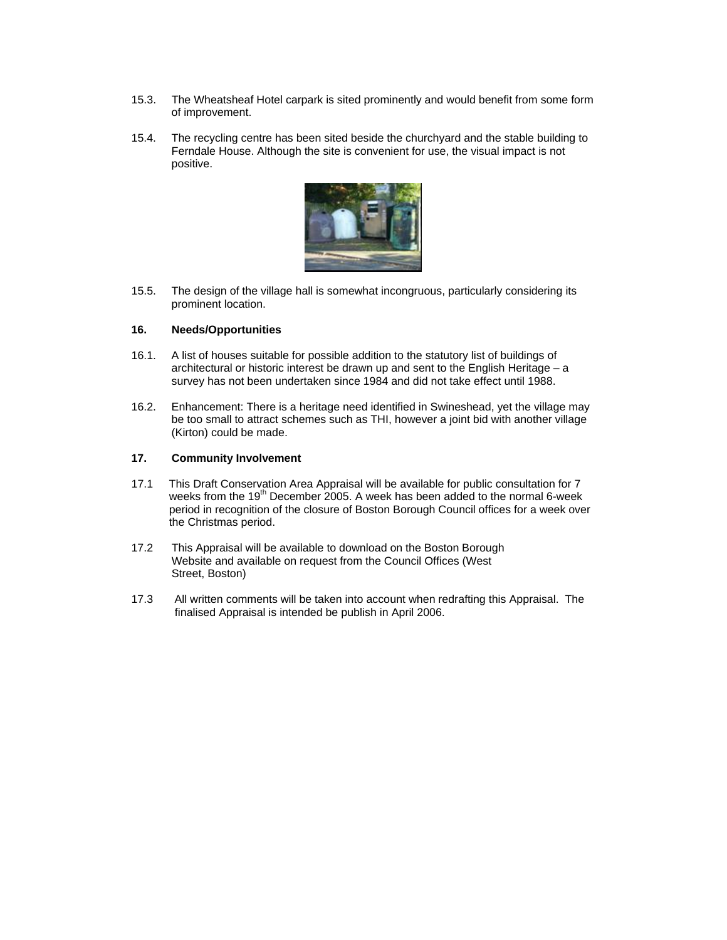- 15.3. The Wheatsheaf Hotel carpark is sited prominently and would benefit from some form of improvement.
- 15.4. The recycling centre has been sited beside the churchyard and the stable building to Ferndale House. Although the site is convenient for use, the visual impact is not positive.



15.5. The design of the village hall is somewhat incongruous, particularly considering its prominent location.

## **16. Needs/Opportunities**

- 16.1. A list of houses suitable for possible addition to the statutory list of buildings of architectural or historic interest be drawn up and sent to the English Heritage – a survey has not been undertaken since 1984 and did not take effect until 1988.
- 16.2. Enhancement: There is a heritage need identified in Swineshead, yet the village may be too small to attract schemes such as THI, however a joint bid with another village (Kirton) could be made.

## **17. Community Involvement**

- 17.1 This Draft Conservation Area Appraisal will be available for public consultation for 7 weeks from the 19<sup>th</sup> December 2005. A week has been added to the normal 6-week period in recognition of the closure of Boston Borough Council offices for a week over the Christmas period.
- 17.2 This Appraisal will be available to download on the Boston Borough Website and available on request from the Council Offices (West Street, Boston)
- 17.3 All written comments will be taken into account when redrafting this Appraisal. The finalised Appraisal is intended be publish in April 2006.